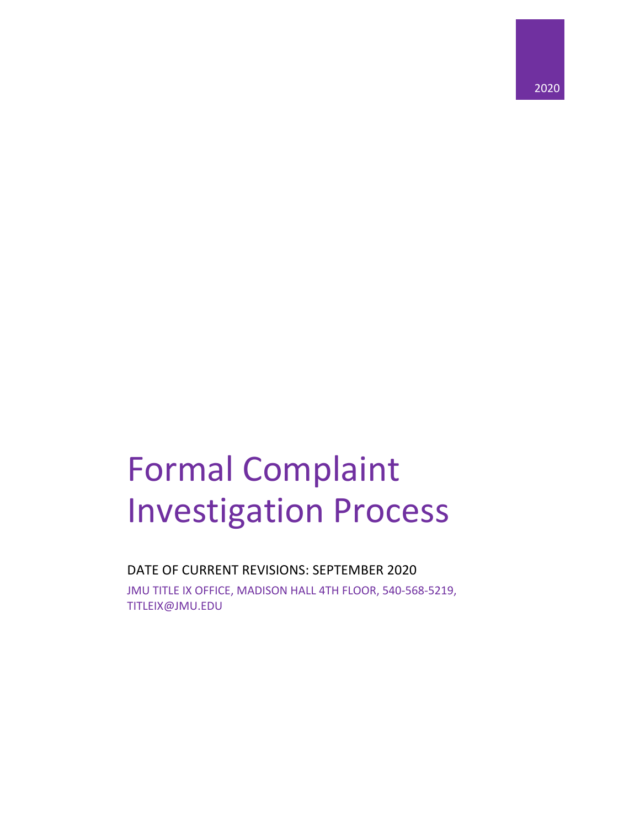

# Formal Complaint Investigation Process

DATE OF CURRENT REVISIONS: SEPTEMBER 2020 JMU TITLE IX OFFICE, MADISON HALL 4TH FLOOR, 540-568-5219,

TITLEIX@JMU.EDU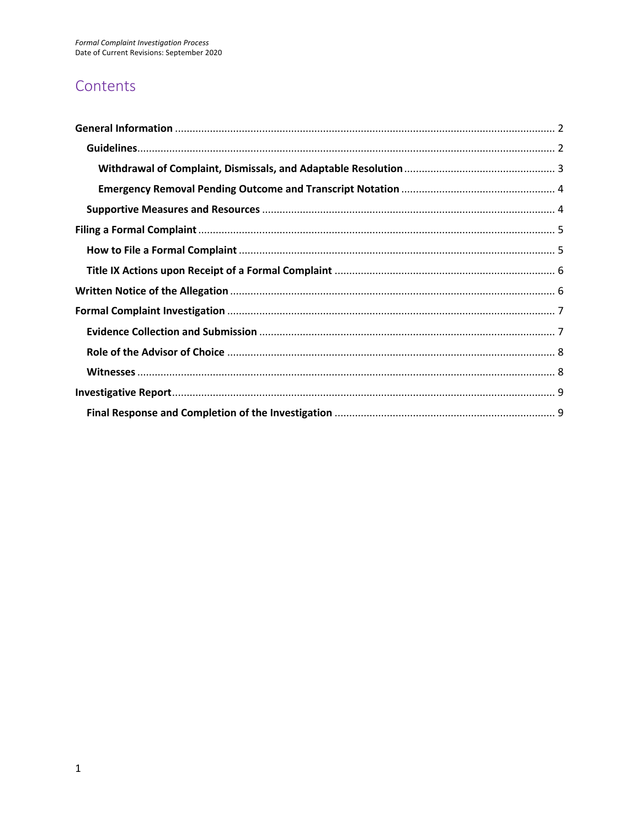# Contents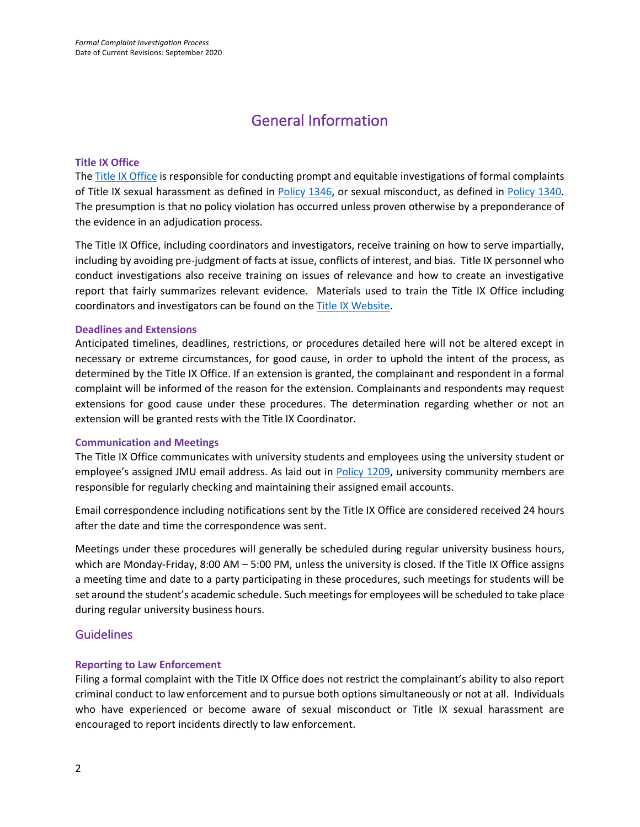# General Information

#### **Title IX Office**

The Title IX Office is responsible for conducting prompt and equitable investigations of formal complaints of Title IX sexual harassment as defined in Policy 1346, or sexual misconduct, as defined in Policy 1340. The presumption is that no policy violation has occurred unless proven otherwise by a preponderance of the evidence in an adjudication process.

The Title IX Office, including coordinators and investigators, receive training on how to serve impartially, including by avoiding pre-judgment of facts at issue, conflicts of interest, and bias. Title IX personnel who conduct investigations also receive training on issues of relevance and how to create an investigative report that fairly summarizes relevant evidence. Materials used to train the Title IX Office including coordinators and investigators can be found on the Title IX Website.

#### **Deadlines and Extensions**

Anticipated timelines, deadlines, restrictions, or procedures detailed here will not be altered except in necessary or extreme circumstances, for good cause, in order to uphold the intent of the process, as determined by the Title IX Office. If an extension is granted, the complainant and respondent in a formal complaint will be informed of the reason for the extension. Complainants and respondents may request extensions for good cause under these procedures. The determination regarding whether or not an extension will be granted rests with the Title IX Coordinator.

#### **Communication and Meetings**

The Title IX Office communicates with university students and employees using the university student or employee's assigned JMU email address. As laid out in Policy 1209, university community members are responsible for regularly checking and maintaining their assigned email accounts.

Email correspondence including notifications sent by the Title IX Office are considered received 24 hours after the date and time the correspondence was sent.

Meetings under these procedures will generally be scheduled during regular university business hours, which are Monday-Friday, 8:00 AM – 5:00 PM, unless the university is closed. If the Title IX Office assigns a meeting time and date to a party participating in these procedures, such meetings for students will be set around the student's academic schedule. Such meetings for employees will be scheduled to take place during regular university business hours.

#### Guidelines

#### **Reporting to Law Enforcement**

Filing a formal complaint with the Title IX Office does not restrict the complainant's ability to also report criminal conduct to law enforcement and to pursue both options simultaneously or not at all. Individuals who have experienced or become aware of sexual misconduct or Title IX sexual harassment are encouraged to report incidents directly to law enforcement.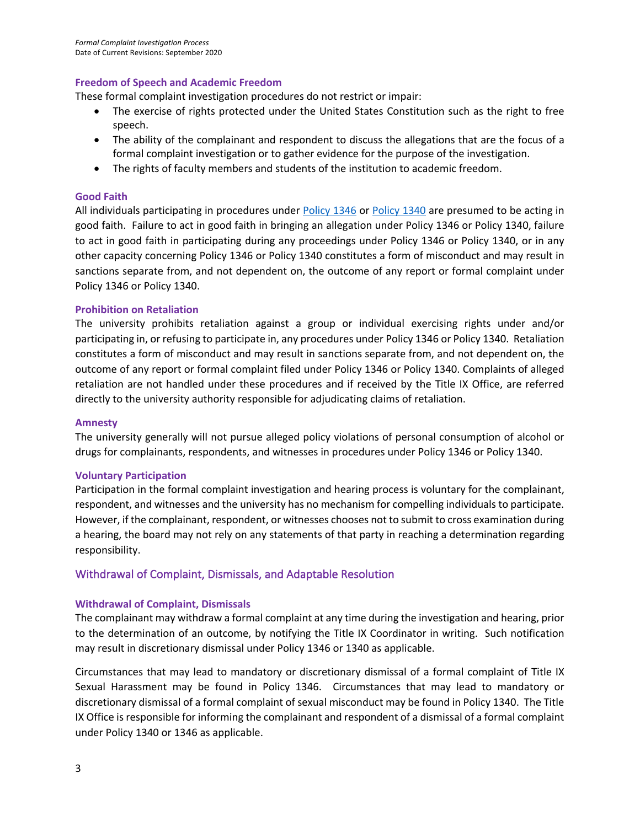#### **Freedom of Speech and Academic Freedom**

These formal complaint investigation procedures do not restrict or impair:

- The exercise of rights protected under the United States Constitution such as the right to free speech.
- The ability of the complainant and respondent to discuss the allegations that are the focus of a formal complaint investigation or to gather evidence for the purpose of the investigation.
- The rights of faculty members and students of the institution to academic freedom.

#### **Good Faith**

All individuals participating in procedures under Policy 1346 or Policy 1340 are presumed to be acting in good faith. Failure to act in good faith in bringing an allegation under Policy 1346 or Policy 1340, failure to act in good faith in participating during any proceedings under Policy 1346 or Policy 1340, or in any other capacity concerning Policy 1346 or Policy 1340 constitutes a form of misconduct and may result in sanctions separate from, and not dependent on, the outcome of any report or formal complaint under Policy 1346 or Policy 1340.

#### **Prohibition on Retaliation**

The university prohibits retaliation against a group or individual exercising rights under and/or participating in, or refusing to participate in, any procedures under Policy 1346 or Policy 1340. Retaliation constitutes a form of misconduct and may result in sanctions separate from, and not dependent on, the outcome of any report or formal complaint filed under Policy 1346 or Policy 1340. Complaints of alleged retaliation are not handled under these procedures and if received by the Title IX Office, are referred directly to the university authority responsible for adjudicating claims of retaliation.

#### **Amnesty**

The university generally will not pursue alleged policy violations of personal consumption of alcohol or drugs for complainants, respondents, and witnesses in procedures under Policy 1346 or Policy 1340.

#### **Voluntary Participation**

Participation in the formal complaint investigation and hearing process is voluntary for the complainant, respondent, and witnesses and the university has no mechanism for compelling individuals to participate. However, if the complainant, respondent, or witnesses chooses not to submit to cross examination during a hearing, the board may not rely on any statements of that party in reaching a determination regarding responsibility.

#### Withdrawal of Complaint, Dismissals, and Adaptable Resolution

#### **Withdrawal of Complaint, Dismissals**

The complainant may withdraw a formal complaint at any time during the investigation and hearing, prior to the determination of an outcome, by notifying the Title IX Coordinator in writing. Such notification may result in discretionary dismissal under Policy 1346 or 1340 as applicable.

Circumstances that may lead to mandatory or discretionary dismissal of a formal complaint of Title IX Sexual Harassment may be found in Policy 1346. Circumstances that may lead to mandatory or discretionary dismissal of a formal complaint of sexual misconduct may be found in Policy 1340. The Title IX Office is responsible for informing the complainant and respondent of a dismissal of a formal complaint under Policy 1340 or 1346 as applicable.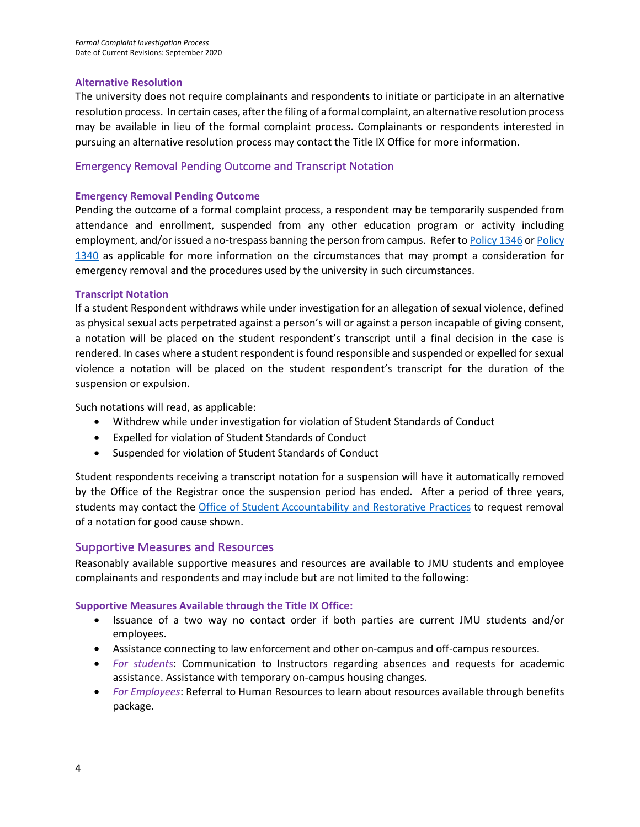#### **Alternative Resolution**

The university does not require complainants and respondents to initiate or participate in an alternative resolution process. In certain cases, after the filing of a formal complaint, an alternative resolution process may be available in lieu of the formal complaint process. Complainants or respondents interested in pursuing an alternative resolution process may contact the Title IX Office for more information.

#### Emergency Removal Pending Outcome and Transcript Notation

#### **Emergency Removal Pending Outcome**

Pending the outcome of a formal complaint process, a respondent may be temporarily suspended from attendance and enrollment, suspended from any other education program or activity including employment, and/or issued a no-trespass banning the person from campus. Refer to Policy 1346 or Policy 1340 as applicable for more information on the circumstances that may prompt a consideration for emergency removal and the procedures used by the university in such circumstances.

#### **Transcript Notation**

If a student Respondent withdraws while under investigation for an allegation of sexual violence, defined as physical sexual acts perpetrated against a person's will or against a person incapable of giving consent, a notation will be placed on the student respondent's transcript until a final decision in the case is rendered. In cases where a student respondent is found responsible and suspended or expelled for sexual violence a notation will be placed on the student respondent's transcript for the duration of the suspension or expulsion.

Such notations will read, as applicable:

- Withdrew while under investigation for violation of Student Standards of Conduct
- Expelled for violation of Student Standards of Conduct
- Suspended for violation of Student Standards of Conduct

Student respondents receiving a transcript notation for a suspension will have it automatically removed by the Office of the Registrar once the suspension period has ended. After a period of three years, students may contact the **Office of Student Accountability and Restorative Practices** to request removal of a notation for good cause shown.

#### Supportive Measures and Resources

Reasonably available supportive measures and resources are available to JMU students and employee complainants and respondents and may include but are not limited to the following:

#### **Supportive Measures Available through the Title IX Office:**

- Issuance of a two way no contact order if both parties are current JMU students and/or employees.
- Assistance connecting to law enforcement and other on-campus and off-campus resources.
- *For students*: Communication to Instructors regarding absences and requests for academic assistance. Assistance with temporary on-campus housing changes.
- *For Employees*: Referral to Human Resources to learn about resources available through benefits package.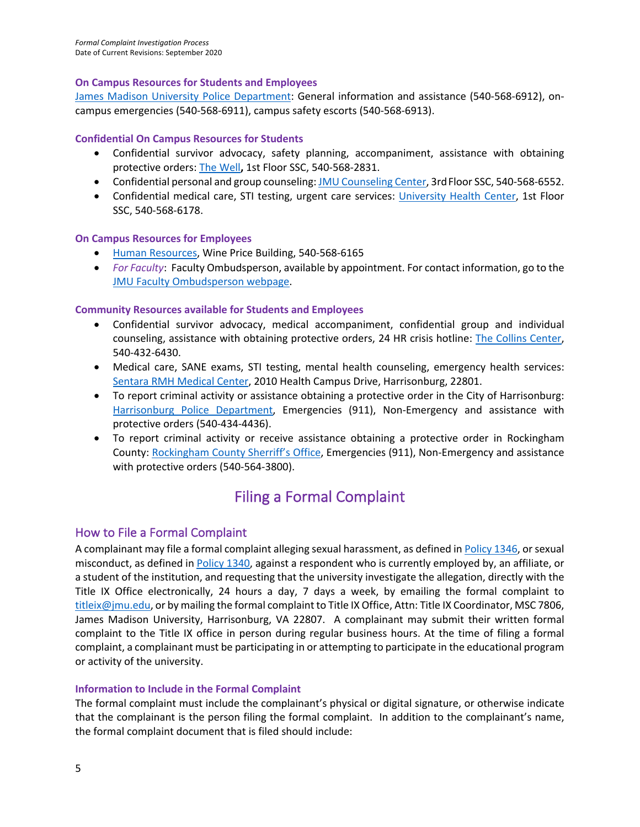#### **On Campus Resources for Students and Employees**

James Madison University Police Department: General information and assistance (540-568-6912), oncampus emergencies (540-568-6911), campus safety escorts (540-568-6913).

#### **Confidential On Campus Resources for Students**

- Confidential survivor advocacy, safety planning, accompaniment, assistance with obtaining protective orders: The Well**,** 1st Floor SSC, 540-568-2831.
- Confidential personal and group counseling: JMU Counseling Center, 3rd Floor SSC, 540-568-6552.
- Confidential medical care, STI testing, urgent care services: University Health Center, 1st Floor SSC, 540-568-6178.

#### **On Campus Resources for Employees**

- Human Resources, Wine Price Building, 540-568-6165
- *For Faculty*: Faculty Ombudsperson, available by appointment. For contact information, go to the JMU Faculty Ombudsperson webpage.

#### **Community Resources available for Students and Employees**

- Confidential survivor advocacy, medical accompaniment, confidential group and individual counseling, assistance with obtaining protective orders, 24 HR crisis hotline: The Collins Center, 540-432-6430.
- Medical care, SANE exams, STI testing, mental health counseling, emergency health services: Sentara RMH Medical Center, 2010 Health Campus Drive, Harrisonburg, 22801.
- To report criminal activity or assistance obtaining a protective order in the City of Harrisonburg: Harrisonburg Police Department, Emergencies (911), Non-Emergency and assistance with protective orders (540-434-4436).
- To report criminal activity or receive assistance obtaining a protective order in Rockingham County: Rockingham County Sherriff's Office, Emergencies (911), Non-Emergency and assistance with protective orders (540-564-3800).

# Filing a Formal Complaint

## How to File a Formal Complaint

A complainant may file a formal complaint alleging sexual harassment, as defined in Policy 1346, or sexual misconduct, as defined in Policy 1340, against a respondent who is currently employed by, an affiliate, or a student of the institution, and requesting that the university investigate the allegation, directly with the Title IX Office electronically, 24 hours a day, 7 days a week, by emailing the formal complaint to titleix@jmu.edu, or by mailing the formal complaint to Title IX Office, Attn: Title IX Coordinator, MSC 7806, James Madison University, Harrisonburg, VA 22807. A complainant may submit their written formal complaint to the Title IX office in person during regular business hours. At the time of filing a formal complaint, a complainant must be participating in or attempting to participate in the educational program or activity of the university.

#### **Information to Include in the Formal Complaint**

The formal complaint must include the complainant's physical or digital signature, or otherwise indicate that the complainant is the person filing the formal complaint. In addition to the complainant's name, the formal complaint document that is filed should include: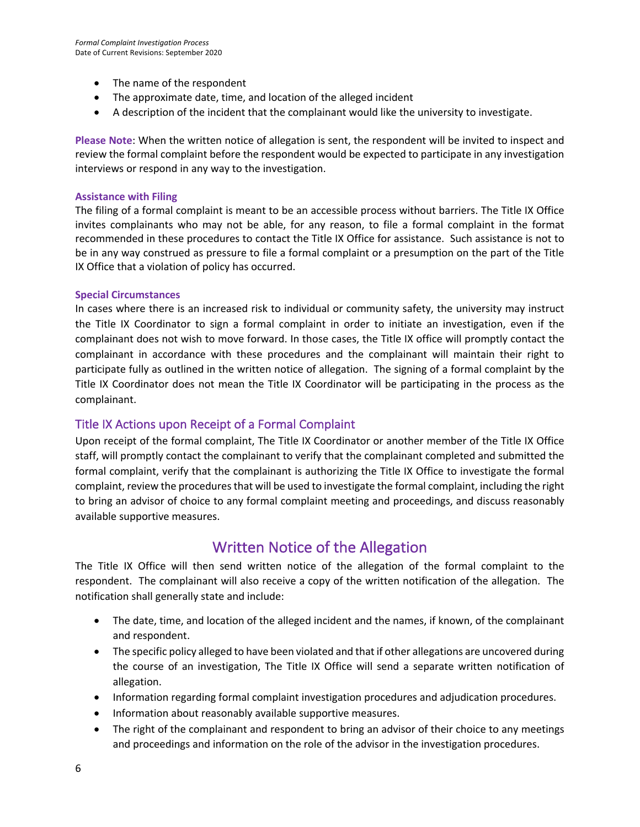- The name of the respondent
- The approximate date, time, and location of the alleged incident
- A description of the incident that the complainant would like the university to investigate.

**Please Note**: When the written notice of allegation is sent, the respondent will be invited to inspect and review the formal complaint before the respondent would be expected to participate in any investigation interviews or respond in any way to the investigation.

#### **Assistance with Filing**

The filing of a formal complaint is meant to be an accessible process without barriers. The Title IX Office invites complainants who may not be able, for any reason, to file a formal complaint in the format recommended in these procedures to contact the Title IX Office for assistance. Such assistance is not to be in any way construed as pressure to file a formal complaint or a presumption on the part of the Title IX Office that a violation of policy has occurred.

#### **Special Circumstances**

In cases where there is an increased risk to individual or community safety, the university may instruct the Title IX Coordinator to sign a formal complaint in order to initiate an investigation, even if the complainant does not wish to move forward. In those cases, the Title IX office will promptly contact the complainant in accordance with these procedures and the complainant will maintain their right to participate fully as outlined in the written notice of allegation. The signing of a formal complaint by the Title IX Coordinator does not mean the Title IX Coordinator will be participating in the process as the complainant.

#### Title IX Actions upon Receipt of a Formal Complaint

Upon receipt of the formal complaint, The Title IX Coordinator or another member of the Title IX Office staff, will promptly contact the complainant to verify that the complainant completed and submitted the formal complaint, verify that the complainant is authorizing the Title IX Office to investigate the formal complaint, review the procedures that will be used to investigate the formal complaint, including the right to bring an advisor of choice to any formal complaint meeting and proceedings, and discuss reasonably available supportive measures.

## Written Notice of the Allegation

The Title IX Office will then send written notice of the allegation of the formal complaint to the respondent. The complainant will also receive a copy of the written notification of the allegation. The notification shall generally state and include:

- The date, time, and location of the alleged incident and the names, if known, of the complainant and respondent.
- The specific policy alleged to have been violated and that if other allegations are uncovered during the course of an investigation, The Title IX Office will send a separate written notification of allegation.
- Information regarding formal complaint investigation procedures and adjudication procedures.
- Information about reasonably available supportive measures.
- The right of the complainant and respondent to bring an advisor of their choice to any meetings and proceedings and information on the role of the advisor in the investigation procedures.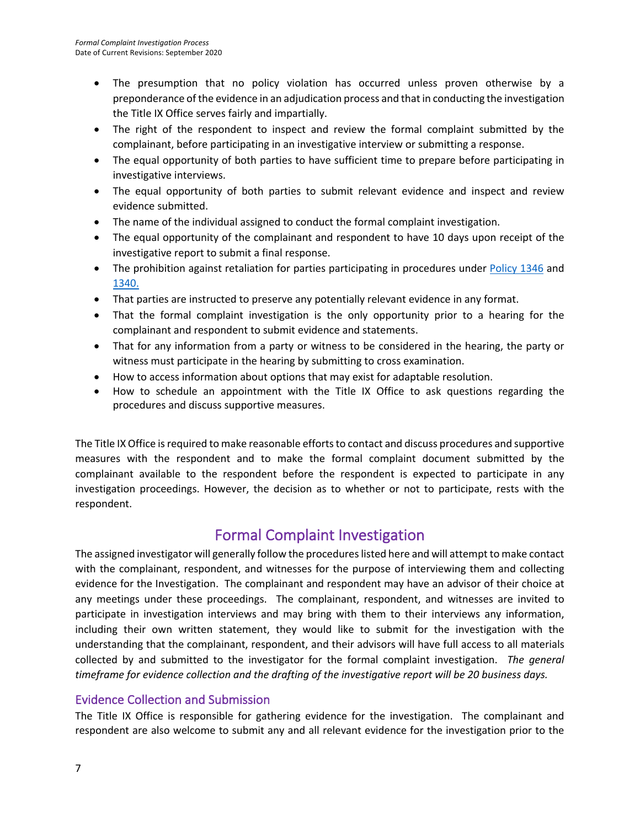- The presumption that no policy violation has occurred unless proven otherwise by a preponderance of the evidence in an adjudication process and that in conducting the investigation the Title IX Office serves fairly and impartially.
- The right of the respondent to inspect and review the formal complaint submitted by the complainant, before participating in an investigative interview or submitting a response.
- The equal opportunity of both parties to have sufficient time to prepare before participating in investigative interviews.
- The equal opportunity of both parties to submit relevant evidence and inspect and review evidence submitted.
- The name of the individual assigned to conduct the formal complaint investigation.
- The equal opportunity of the complainant and respondent to have 10 days upon receipt of the investigative report to submit a final response.
- The prohibition against retaliation for parties participating in procedures under Policy 1346 and 1340.
- That parties are instructed to preserve any potentially relevant evidence in any format.
- That the formal complaint investigation is the only opportunity prior to a hearing for the complainant and respondent to submit evidence and statements.
- That for any information from a party or witness to be considered in the hearing, the party or witness must participate in the hearing by submitting to cross examination.
- How to access information about options that may exist for adaptable resolution.
- How to schedule an appointment with the Title IX Office to ask questions regarding the procedures and discuss supportive measures.

The Title IX Office is required to make reasonable efforts to contact and discuss procedures and supportive measures with the respondent and to make the formal complaint document submitted by the complainant available to the respondent before the respondent is expected to participate in any investigation proceedings. However, the decision as to whether or not to participate, rests with the respondent.

# Formal Complaint Investigation

The assigned investigator will generally follow the procedures listed here and will attempt to make contact with the complainant, respondent, and witnesses for the purpose of interviewing them and collecting evidence for the Investigation. The complainant and respondent may have an advisor of their choice at any meetings under these proceedings. The complainant, respondent, and witnesses are invited to participate in investigation interviews and may bring with them to their interviews any information, including their own written statement, they would like to submit for the investigation with the understanding that the complainant, respondent, and their advisors will have full access to all materials collected by and submitted to the investigator for the formal complaint investigation. *The general timeframe for evidence collection and the drafting of the investigative report will be 20 business days.*

## Evidence Collection and Submission

The Title IX Office is responsible for gathering evidence for the investigation. The complainant and respondent are also welcome to submit any and all relevant evidence for the investigation prior to the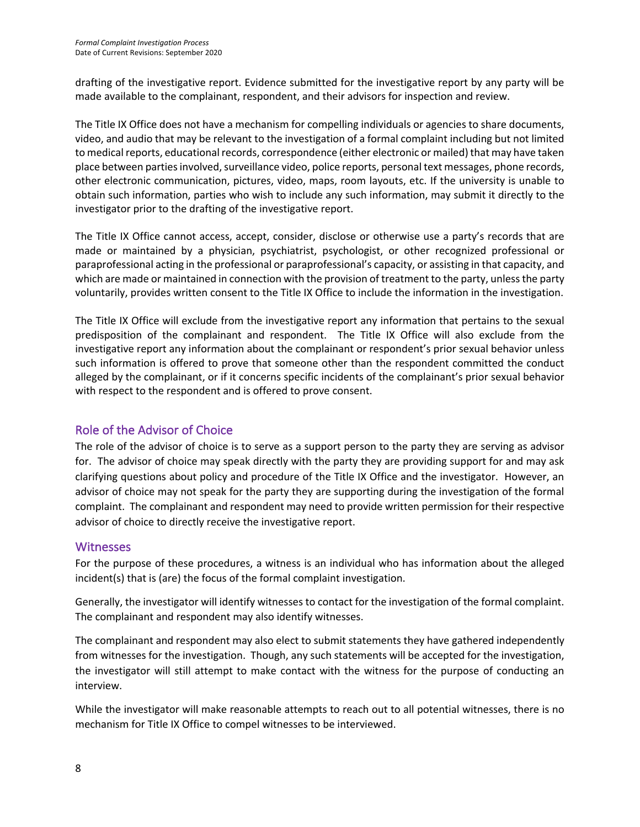drafting of the investigative report. Evidence submitted for the investigative report by any party will be made available to the complainant, respondent, and their advisors for inspection and review.

The Title IX Office does not have a mechanism for compelling individuals or agencies to share documents, video, and audio that may be relevant to the investigation of a formal complaint including but not limited to medical reports, educational records, correspondence (either electronic or mailed) that may have taken place between parties involved, surveillance video, police reports, personal text messages, phone records, other electronic communication, pictures, video, maps, room layouts, etc. If the university is unable to obtain such information, parties who wish to include any such information, may submit it directly to the investigator prior to the drafting of the investigative report.

The Title IX Office cannot access, accept, consider, disclose or otherwise use a party's records that are made or maintained by a physician, psychiatrist, psychologist, or other recognized professional or paraprofessional acting in the professional or paraprofessional's capacity, or assisting in that capacity, and which are made or maintained in connection with the provision of treatment to the party, unless the party voluntarily, provides written consent to the Title IX Office to include the information in the investigation.

The Title IX Office will exclude from the investigative report any information that pertains to the sexual predisposition of the complainant and respondent. The Title IX Office will also exclude from the investigative report any information about the complainant or respondent's prior sexual behavior unless such information is offered to prove that someone other than the respondent committed the conduct alleged by the complainant, or if it concerns specific incidents of the complainant's prior sexual behavior with respect to the respondent and is offered to prove consent.

## Role of the Advisor of Choice

The role of the advisor of choice is to serve as a support person to the party they are serving as advisor for. The advisor of choice may speak directly with the party they are providing support for and may ask clarifying questions about policy and procedure of the Title IX Office and the investigator. However, an advisor of choice may not speak for the party they are supporting during the investigation of the formal complaint. The complainant and respondent may need to provide written permission for their respective advisor of choice to directly receive the investigative report.

## **Witnesses**

For the purpose of these procedures, a witness is an individual who has information about the alleged incident(s) that is (are) the focus of the formal complaint investigation.

Generally, the investigator will identify witnesses to contact for the investigation of the formal complaint. The complainant and respondent may also identify witnesses.

The complainant and respondent may also elect to submit statements they have gathered independently from witnesses for the investigation. Though, any such statements will be accepted for the investigation, the investigator will still attempt to make contact with the witness for the purpose of conducting an interview.

While the investigator will make reasonable attempts to reach out to all potential witnesses, there is no mechanism for Title IX Office to compel witnesses to be interviewed.